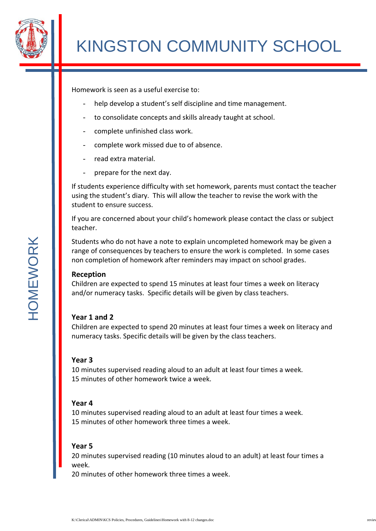

Homework is seen as a useful exercise to:

- help develop a student's self discipline and time management.
- to consolidate concepts and skills already taught at school.
- complete unfinished class work.
- complete work missed due to of absence.
- read extra material.
- prepare for the next day.

If students experience difficulty with set homework, parents must contact the teacher using the student's diary. This will allow the teacher to revise the work with the student to ensure success.

If you are concerned about your child's homework please contact the class or subject teacher.

Students who do not have a note to explain uncompleted homework may be given a range of consequences by teachers to ensure the work is completed. In some cases non completion of homework after reminders may impact on school grades.

## **Reception**

Children are expected to spend 15 minutes at least four times a week on literacy and/or numeracy tasks. Specific details will be given by class teachers.

## **Year 1 and 2**

Children are expected to spend 20 minutes at least four times a week on literacy and numeracy tasks. Specific details will be given by the class teachers.

## **Year 3**

10 minutes supervised reading aloud to an adult at least four times a week. 15 minutes of other homework twice a week.

## **Year 4**

10 minutes supervised reading aloud to an adult at least four times a week. 15 minutes of other homework three times a week.

## **Year 5**

20 minutes supervised reading (10 minutes aloud to an adult) at least four times a week.

20 minutes of other homework three times a week.